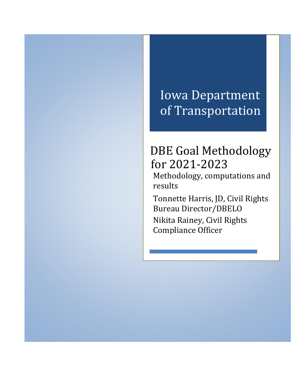# Iowa Department of Transportation

# DBE Goal Methodology for 2021-2023

Methodology, computations and results

Tonnette Harris, JD, Civil Rights Bureau Director/DBELO Nikita Rainey, Civil Rights Compliance Officer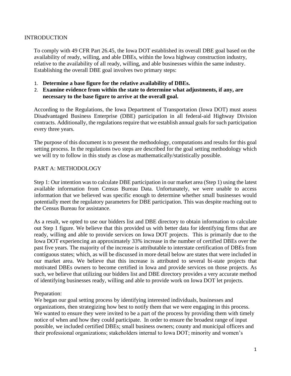#### **INTRODUCTION**

To comply with 49 CFR Part 26.45, the Iowa DOT established its overall DBE goal based on the availability of ready, willing, and able DBEs, within the Iowa highway construction industry, relative to the availability of all ready, willing, and able businesses within the same industry. Establishing the overall DBE goal involves two primary steps:

- 1. **Determine a base figure for the relative availability of DBEs.**
- 2. **Examine evidence from within the state to determine what adjustments, if any, are necessary to the base figure to arrive at the overall goal.**

According to the Regulations, the Iowa Department of Transportation (Iowa DOT) must assess Disadvantaged Business Enterprise (DBE) participation in all federal-aid Highway Division contracts. Additionally, the regulations require that we establish annual goals for such participation every three years.

The purpose of this document is to present the methodology, computations and results for this goal setting process. In the regulations two steps are described for the goal setting methodology which we will try to follow in this study as close as mathematically/statistically possible.

#### PART A: METHODOLOGY

Step 1: Our intention was to calculate DBE participation in our market area (Step 1) using the latest available information from Census Bureau Data. Unfortunately, we were unable to access information that we believed was specific enough to determine whether small businesses would potentially meet the regulatory parameters for DBE participation. This was despite reaching out to the Census Bureau for assistance.

As a result, we opted to use our bidders list and DBE directory to obtain information to calculate out Step 1 figure. We believe that this provided us with better data for identifying firms that are ready, willing and able to provide services on Iowa DOT projects. This is primarily due to the Iowa DOT experiencing an approximately 33% increase in the number of certified DBEs over the past five years. The majority of the increase is attributable to interstate certification of DBEs from contiguous states; which, as will be discussed in more detail below are states that were included in our market area. We believe that this increase is attributed to several bi-state projects that motivated DBEs owners to become certified in Iowa and provide services on those projects. As such, we believe that utilizing our bidders list and DBE directory provides a very accurate method of identifying businesses ready, willing and able to provide work on Iowa DOT let projects.

#### Preparation:

We began our goal setting process by identifying interested individuals, businesses and organizations, then strategizing how best to notify them that we were engaging in this process. We wanted to ensure they were invited to be a part of the process by providing them with timely notice of when and how they could participate. In order to ensure the broadest range of input possible, we included certified DBEs; small business owners; county and municipal officers and their professional organizations; stakeholders internal to Iowa DOT; minority and women's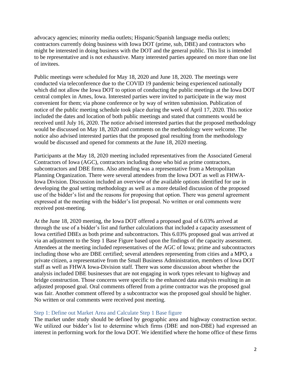advocacy agencies; minority media outlets; Hispanic/Spanish language media outlets; contractors currently doing business with Iowa DOT (prime, sub, DBE) and contractors who might be interested in doing business with the DOT and the general public. This list is intended to be representative and is not exhaustive. Many interested parties appeared on more than one list of invitees.

Public meetings were scheduled for May 18, 2020 and June 18, 2020. The meetings were conducted via teleconference due to the COVID 19 pandemic being experienced nationally which did not allow the Iowa DOT to option of conducting the public meetings at the Iowa DOT central complex in Ames, Iowa. Interested parties were invited to participate in the way most convenient for them; via phone conference or by way of written submission. Publication of notice of the public meeting schedule took place during the week of April 17, 2020. This notice included the dates and location of both public meetings and stated that comments would be received until July 16, 2020. The notice advised interested parties that the proposed methodology would be discussed on May 18, 2020 and comments on the methodology were welcome. The notice also advised interested parties that the proposed goal resulting from the methodology would be discussed and opened for comments at the June 18, 2020 meeting.

Participants at the May 18, 2020 meeting included representatives from the Associated General Contractors of Iowa (AGC), contractors including those who bid as prime contractors, subcontractors and DBE firms. Also attending was a representative from a Metropolitan Planning Organization. There were several attendees from the Iowa DOT as well as FHWA-Iowa Division. Discussion included an overview of the available options identified for use in developing the goal setting methodology as well as a more detailed discussion of the proposed use of the bidder's list and the reasons for proposing that option. There was general agreement expressed at the meeting with the bidder's list proposal. No written or oral comments were received post-meeting.

At the June 18, 2020 meeting, the Iowa DOT offered a proposed goal of 6.03% arrived at through the use of a bidder's list and further calculations that included a capacity assessment of Iowa certified DBEs as both prime and subcontractors. This 6.03% proposed goal was arrived at via an adjustment to the Step 1 Base Figure based upon the findings of the capacity assessment. Attendees at the meeting included representatives of the AGC of Iowa; prime and subcontractors including those who are DBE certified; several attendees representing from cities and a MPO, a private citizen, a representative from the Small Business Administration, members of Iowa DOT staff as well as FHWA Iowa-Division staff. There was some discussion about whether the analysis included DBE businesses that are not engaging in work types relevant to highway and bridge construction. Those concerns were specific to the enhanced data analysis resulting in an adjusted proposed goal. Oral comments offered from a prime contractor was the proposed goal was fair. Another comment offered by a subcontractor was the proposed goal should be higher. No written or oral comments were received post meeting.

#### Step 1: Define out Market Area and Calculate Step 1 Base figure

The market under study should be defined by geographic area and highway construction sector. We utilized our bidder's list to determine which firms (DBE and non-DBE) had expressed an interest in performing work for the Iowa DOT. We identified where the home office of these firms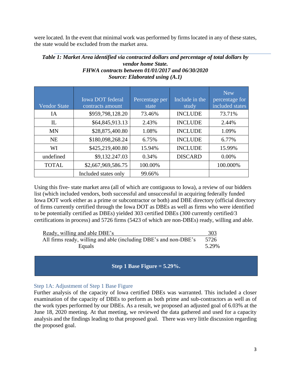were located. In the event that minimal work was performed by firms located in any of these states, the state would be excluded from the market area.

#### *Table 1: Market Area identified via contracted dollars and percentage of total dollars by vendor home State. FHWA contracts between 01/01/2017 and 06/30/2020 Source: Elaborated using (A.1)*

|                     | <b>Iowa DOT</b> federal | Percentage per | Include in the | <b>New</b><br>percentage for |
|---------------------|-------------------------|----------------|----------------|------------------------------|
| <b>Vendor State</b> | contracts amount        | state          | study          | included states              |
| IA                  | \$959,798,128.20        | 73.46%         | <b>INCLUDE</b> | 73.71%                       |
| $_{\rm IL}$         | \$64,845,913.13         | 2.43%          | <b>INCLUDE</b> | 2.44%                        |
| <b>MN</b>           | \$28,875,400.80         | 1.08%          | <b>INCLUDE</b> | 1.09%                        |
| <b>NE</b>           | \$180,098,268.24        | 6.75%          | <b>INCLUDE</b> | 6.77%                        |
| WI                  | \$425,219,400.80        | 15.94%         | <b>INCLUDE</b> | 15.99%                       |
| undefined           | \$9,132.247.03          | 0.34%          | <b>DISCARD</b> | 0.00%                        |
| <b>TOTAL</b>        | \$2,667,969,586.75      | 100.00%        |                | 100.000%                     |
|                     | Included states only    | 99.66%         |                |                              |

Using this five- state market area (all of which are contiguous to Iowa), a review of our bidders list (which included vendors, both successful and unsuccessful in acquiring federally funded Iowa DOT work either as a prime or subcontractor or both) and DBE directory (official directory of firms currently certified through the Iowa DOT as DBEs as well as firms who were identified to be potentially certified as DBEs) yielded 303 certified DBEs (300 currently certified/3 certifications in process) and 5726 firms (5423 of which are non-DBEs) ready, willing and able.

| Ready, willing and able DBE's                                    | 303   |
|------------------------------------------------------------------|-------|
| All firms ready, willing and able (including DBE's and non-DBE's | 5726  |
| Equals                                                           | 5.29% |

## **Step 1 Base Figure = 5.29%.**

## Step 1A: Adjustment of Step 1 Base Figure

Further analysis of the capacity of Iowa certified DBEs was warranted. This included a closer examination of the capacity of DBEs to perform as both prime and sub-contractors as well as of the work types performed by our DBEs. As a result, we proposed an adjusted goal of 6.03% at the June 18, 2020 meeting. At that meeting, we reviewed the data gathered and used for a capacity analysis and the findings leading to that proposed goal. There was very little discussion regarding the proposed goal.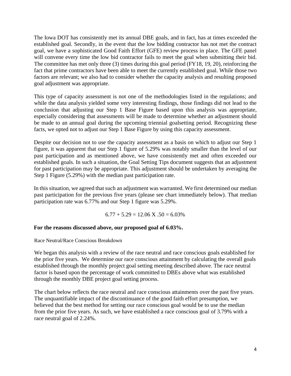The Iowa DOT has consistently met its annual DBE goals, and in fact, has at times exceeded the established goal. Secondly, in the event that the low bidding contractor has not met the contract goal, we have a sophisticated Good Faith Effort (GFE) review process in place. The GFE panel will convene every time the low bid contractor fails to meet the goal when submitting their bid. The committee has met only three (3) times during this goal period (FY18, 19, 20), reinforcing the fact that prime contractors have been able to meet the currently established goal. While those two factors are relevant; we also had to consider whether the capacity analysis and resulting proposed goal adjustment was appropriate.

This type of capacity assessment is not one of the methodologies listed in the regulations; and while the data analysis yielded some very interesting findings, those findings did not lead to the conclusion that adjusting our Step 1 Base Figure based upon this analysis was appropriate, especially considering that assessments will be made to determine whether an adjustment should be made to an annual goal during the upcoming triennial goalsetting period. Recognizing these facts, we opted not to adjust our Step 1 Base Figure by using this capacity assessment.

Despite our decision not to use the capacity assessment as a basis on which to adjust our Step 1 figure, it was apparent that our Step 1 figure of 5.29% was notably smaller than the level of our past participation and as mentioned above, we have consistently met and often exceeded our established goals. In such a situation, the Goal Setting Tips document suggests that an adjustment for past participation may be appropriate. This adjustment should be undertaken by averaging the Step 1 Figure (5.29%) with the median past participation rate.

In this situation, we agreed that such an adjustment was warranted. We first determined our median past participation for the previous five years (please see chart immediately below). That median participation rate was 6.77% and our Step 1 figure was 5.29%.

 $6.77 + 5.29 = 12.06 \text{ X}$ .50 = 6.03%

### **For the reasons discussed above, our proposed goal of 6.03%.**

Race Neutral/Race Conscious Breakdown

We began this analysis with a review of the race neutral and race conscious goals established for the prior five years. We determine our race conscious attainment by calculating the overall goals established through the monthly project goal setting meeting described above. The race neutral factor is based upon the percentage of work committed to DBEs above what was established through the monthly DBE project goal setting process.

The chart below reflects the race neutral and race conscious attainments over the past five years. The unquantifiable impact of the discontinuance of the good faith effort presumption, we believed that the best method for setting our race conscious goal would be to use the median from the prior five years. As such, we have established a race conscious goal of 3.79% with a race neutral goal of 2.24%.